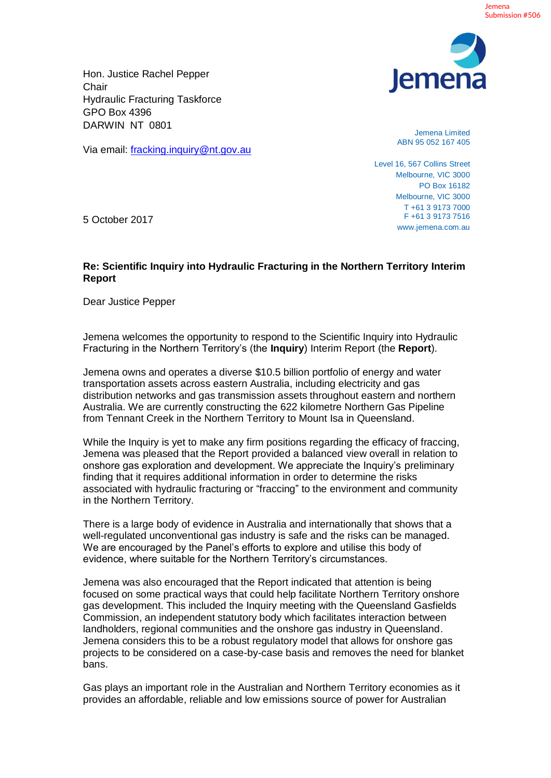

Hon. Justice Rachel Pepper **Chair** Hydraulic Fracturing Taskforce GPO Box 4396 DARWIN NT 0801

Via email: fracking.inquiry@nt.gov.au

Jemena Limited ABN 95 052 167 405

Level 16, 567 Collins Street Melbourne, VIC 3000 PO Box 16182 Melbourne, VIC 3000 T +61 3 9173 7000 F +61 3 9173 7516 www.jemena.com.au

5 October 2017

## **Re: Scientific Inquiry into Hydraulic Fracturing in the Northern Territory Interim Report**

Dear Justice Pepper

Jemena welcomes the opportunity to respond to the Scientific Inquiry into Hydraulic Fracturing in the Northern Territory's (the **Inquiry**) Interim Report (the **Report**).

Jemena owns and operates a diverse \$10.5 billion portfolio of energy and water transportation assets across eastern Australia, including electricity and gas distribution networks and gas transmission assets throughout eastern and northern Australia. We are currently constructing the 622 kilometre Northern Gas Pipeline from Tennant Creek in the Northern Territory to Mount Isa in Queensland.

While the Inquiry is yet to make any firm positions regarding the efficacy of fraccing. Jemena was pleased that the Report provided a balanced view overall in relation to onshore gas exploration and development. We appreciate the Inquiry's preliminary finding that it requires additional information in order to determine the risks associated with hydraulic fracturing or "fraccing" to the environment and community in the Northern Territory.

There is a large body of evidence in Australia and internationally that shows that a well-regulated unconventional gas industry is safe and the risks can be managed. We are encouraged by the Panel's efforts to explore and utilise this body of evidence, where suitable for the Northern Territory's circumstances.

Jemena was also encouraged that the Report indicated that attention is being focused on some practical ways that could help facilitate Northern Territory onshore gas development. This included the Inquiry meeting with the Queensland Gasfields Commission, an independent statutory body which facilitates interaction between landholders, regional communities and the onshore gas industry in Queensland. Jemena considers this to be a robust regulatory model that allows for onshore gas projects to be considered on a case-by-case basis and removes the need for blanket bans.

Gas plays an important role in the Australian and Northern Territory economies as it provides an affordable, reliable and low emissions source of power for Australian